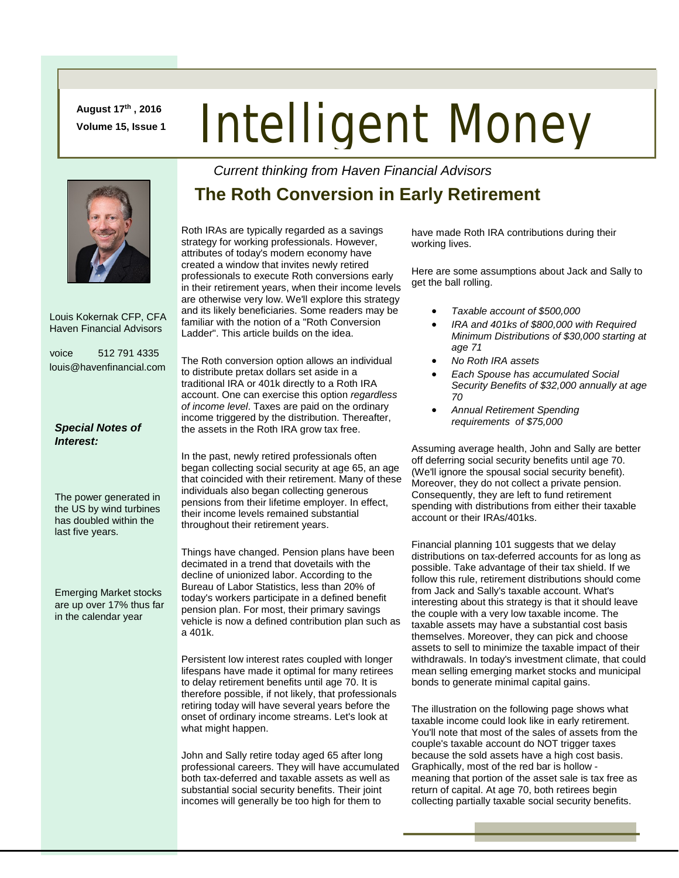**August 17th , 2016 Volume 15, Issue 1**

## Intelligent Money

 Louis Kokernak CFP, CFA Haven Financial Advisors

voice 512 791 4335 louis@havenfinancial.com

## *Special Notes of Interest:*

The power generated in the US by wind turbines has doubled within the last five years.

Emerging Market stocks are up over 17% thus far in the calendar year

## **The Roth Conversion in Early Retirement**

*Current thinking from Haven Financial Advisors* 

Roth IRAs are typically regarded as a savings strategy for working professionals. However, attributes of today's modern economy have created a window that invites newly retired professionals to execute Roth conversions early in their retirement years, when their income levels are otherwise very low. We'll explore this strategy and its likely beneficiaries. Some readers may be familiar with the notion of a "Roth Conversion Ladder". This article builds on the idea.

The Roth conversion option allows an individual to distribute pretax dollars set aside in a traditional IRA or 401k directly to a Roth IRA account. One can exercise this option *regardless of income level*. Taxes are paid on the ordinary income triggered by the distribution. Thereafter, the assets in the Roth IRA grow tax free.

In the past, newly retired professionals often began collecting social security at age 65, an age that coincided with their retirement. Many of these individuals also began collecting generous pensions from their lifetime employer. In effect, their income levels remained substantial throughout their retirement years.

Things have changed. Pension plans have been decimated in a trend that dovetails with the decline of unionized labor. According to the Bureau of Labor Statistics, less than 20% of today's workers participate in a defined benefit pension plan. For most, their primary savings vehicle is now a defined contribution plan such as a 401k.

Persistent low interest rates coupled with longer lifespans have made it optimal for many retirees to delay retirement benefits until age 70. It is therefore possible, if not likely, that professionals retiring today will have several years before the onset of ordinary income streams. Let's look at what might happen.

John and Sally retire today aged 65 after long professional careers. They will have accumulated both tax-deferred and taxable assets as well as substantial social security benefits. Their joint incomes will generally be too high for them to

have made Roth IRA contributions during their working lives.

Here are some assumptions about Jack and Sally to get the ball rolling.

- *Taxable account of \$500,000*
- *IRA and 401ks of \$800,000 with Required Minimum Distributions of \$30,000 starting at age 71*
- *No Roth IRA assets*
- *Each Spouse has accumulated Social Security Benefits of \$32,000 annually at age 70*
- *Annual Retirement Spending requirements of \$75,000*

Assuming average health, John and Sally are better off deferring social security benefits until age 70. (We'll ignore the spousal social security benefit). Moreover, they do not collect a private pension. Consequently, they are left to fund retirement spending with distributions from either their taxable account or their IRAs/401ks.

Financial planning 101 suggests that we delay distributions on tax-deferred accounts for as long as possible. Take advantage of their tax shield. If we follow this rule, retirement distributions should come from Jack and Sally's taxable account. What's interesting about this strategy is that it should leave the couple with a very low taxable income. The taxable assets may have a substantial cost basis themselves. Moreover, they can pick and choose assets to sell to minimize the taxable impact of their withdrawals. In today's investment climate, that could mean selling emerging market stocks and municipal bonds to generate minimal capital gains.

The illustration on the following page shows what taxable income could look like in early retirement. You'll note that most of the sales of assets from the couple's taxable account do NOT trigger taxes because the sold assets have a high cost basis. Graphically, most of the red bar is hollow meaning that portion of the asset sale is tax free as return of capital. At age 70, both retirees begin collecting partially taxable social security benefits.